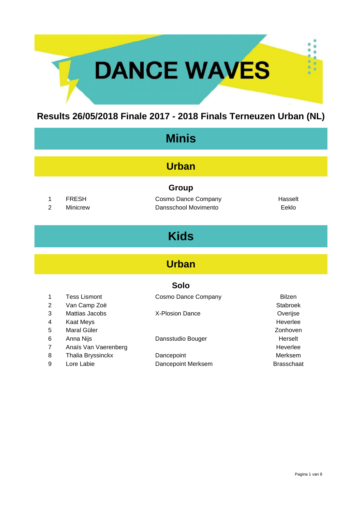# DANCE WAVES

#### **Results 26/05/2018 Finale 2017 - 2018 Finals Terneuzen Urban (NL)**

| <b>Minis</b>        |                                            |                                                             |                                  |  |
|---------------------|--------------------------------------------|-------------------------------------------------------------|----------------------------------|--|
| <b>Urban</b>        |                                            |                                                             |                                  |  |
| 1<br>$\overline{2}$ | <b>FRESH</b><br><b>Minicrew</b>            | <b>Group</b><br>Cosmo Dance Company<br>Dansschool Movimento | Hasselt<br>Eeklo                 |  |
| <b>Kids</b>         |                                            |                                                             |                                  |  |
| <b>Urban</b>        |                                            |                                                             |                                  |  |
| <b>Solo</b>         |                                            |                                                             |                                  |  |
| 1<br>$\overline{2}$ | <b>Tess Lismont</b><br>Van Camp Zoë        | Cosmo Dance Company                                         | <b>Bilzen</b><br>Stabroek        |  |
| 3<br>4<br>5         | Mattias Jacobs<br>Kaat Meys<br>Maral Güler | <b>X-Plosion Dance</b>                                      | Overijse<br>Heverlee<br>Zonhoven |  |
| 6<br>7              | Anna Nijs<br>Anaïs Van Vaerenberg          | Dansstudio Bouger                                           | Herselt<br>Heverlee              |  |
| 8                   | <b>Thalia Bryssinckx</b>                   | Dancepoint                                                  | Merksem                          |  |

9 Lore Labie **Dancepoint Merksem** Brasschaat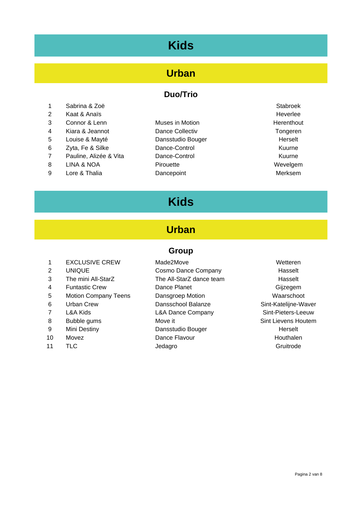### **Kids**

#### **Urban**

#### **Duo/Trio**

- 1 Sabrina & Zoë Stabroek is a stable when the Stabroek stabroek is a stabroek stabroek stabroek is a stabroek 2 Kaat & Anaïs **Heverlee** 3 Connor & Lenn Muses in Motion Motion Allementhout 4 Kiara & Jeannot **Dance Collectiv Collectiv Tongeren** 5 Louise & Mayté **Dansstudio Bouger** 1983 Course and Herselt 6 Zyta, Fe & Silke Dance-Control Kuurne 7 Pauline, Alizée & Vita Dance-Control Control Currence Ruurne 8 LINA & NOA Pirouette Provence Contact Mevelgem
- 9 Lore & Thalia **Dancepoint** Denomination Controller Merksem
- 

### **Kids**

#### **Urban**

#### **Group**

1 EXCLUSIVE CREW Made2Move **Mande2Move** Wetteren 2 UNIQUE Cosmo Dance Company Hasselt 3 The mini All-StarZ The All-StarZ dance team Hasselt 4 Funtastic Crew Dance Planet Crew Dance Planet Crew Gijzegem 5 Motion Company Teens Dansgroep Motion Waarschoot 6 Urban Crew Dansschool Balanze Sint-Katelijne-Waver 7 L&A Kids **L&A Dance Company** Sint-Pieters-Leeuw 8 Bubble gums Move it Sint Lievens Houtem 9 Mini Destiny **Dansstudio Bouger** Mini Destiny **Herselt** 10 Movez **Dance Flavour Communist Exercise** Dance Flavour 11 TLC 30 Jedagro 30 Jedagro 30 Jedagro 30 Jedagro 30 Jeda 20 Jeda 20 Jeda 20 Jeda 20 Jeda 20 Jeda 20 Jeda 20 Jeda 20 Jeda 20 Jeda 20 Jeda 20 Jeda 20 Jeda 20 Jeda 20 Jeda 20 Jeda 20 Jeda 20 Jeda 20 Jeda 20 Jeda 20 Jeda 20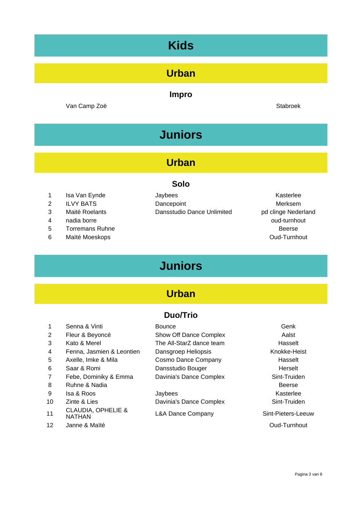### **Kids**

#### **Urban**

#### **Impro**

Van Camp Zoë Stabroek is a stabroek stabroek is a stabroek stabroek is stabroek stabroek

## **Juniors**

#### **Urban**

#### **Solo**

- 1 Isa Van Eynde **International Studies** Jaybees **Contracts** Contracts and Masterlee
- 
- 
- 4 nadia borre oud-turnhout
- 5 Torremans Ruhne Beerse and the Beerse and the Beerse and the Beerse and the Beerse
- 6 Maïté Moeskops **Oud-Turnhout**

#### 2 ILVY BATS Dancepoint Democratic Merksem 3 Maité Roelants Dansstudio Dance Unlimited pd clinge Nederland

### **Juniors**

### **Urban**

#### **Duo/Trio**

1 Senna & Vinti **Bounce** General Bounce **General Senna Bounce** Genk 2 Fleur & Beyoncé Show Off Dance Complex Aalst 3 Kato & Merel The All-StarZ dance team **Hasselt** 4 Fenna, Jasmien & Leontien Dansgroep Heliopsis Knokke-Heist 5 Axelle, Imke & Mila Cosmo Dance Company Flasselt 6 Saar & Romi **Dansstudio Bouger Communist Communist Communist Communist Communist Communist Communist Communist Communist Communist Communist Communist Communist Communist Communist Communist Communist Communist Communi** 7 Febe, Dominiky & Emma Davinia's Dance Complex Sint-Truiden 8 Ruhne & Nadia **Beerse** 9 Isa & Roos **Statement Statement Control Control** Associate Associate Associate Associate Associate Associate Associate Associate Associate Associate Associate Associate Associate Associate Associate Associate Associate A 10 Zinte & Lies **Davinia's Dance Complex** Sint-Truiden 11 CLAUDIA, OPHELIE &<br>NATHAN 12 Janne & Maïté **Oud-Turnhout** 

L&A Dance Company Sint-Pieters-Leeuw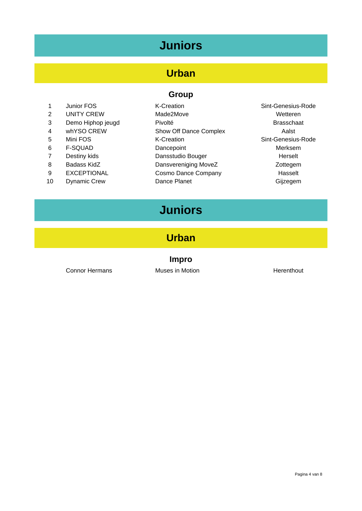## **Juniors**

### **Urban**

#### **Group**

| $\mathbf{1}$   | Junior FOS          | <b>K-Creation</b>      | Sint-Genesius-Rode |
|----------------|---------------------|------------------------|--------------------|
| 2              | <b>UNITY CREW</b>   | Made2Move              | Wetteren           |
| 3              | Demo Hiphop jeugd   | Pivolté                | <b>Brasschaat</b>  |
| $\overline{4}$ | whYSO CREW          | Show Off Dance Complex | Aalst              |
| 5              | Mini FOS            | <b>K-Creation</b>      | Sint-Genesius-Rode |
| 6              | <b>F-SQUAD</b>      | Dancepoint             | Merksem            |
| 7              | Destiny kids        | Dansstudio Bouger      | Herselt            |
| 8              | Badass KidZ         | Dansvereniging MoveZ   | Zottegem           |
| 9              | <b>EXCEPTIONAL</b>  | Cosmo Dance Company    | Hasselt            |
| 10             | <b>Dynamic Crew</b> | Dance Planet           | Gijzegem           |

## **Juniors**

#### **Urban**

#### **Impro**

Connor Hermans **Muses** in Motion **Muses in Motion Herenthout**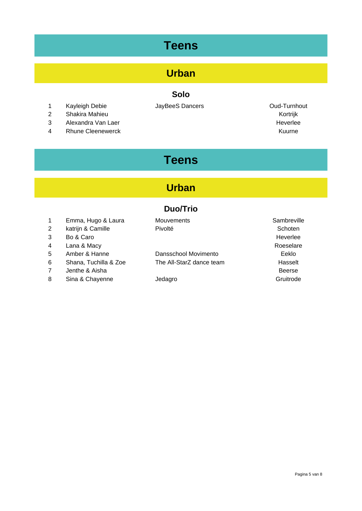### **Teens**

### **Urban**

#### **Solo**

- 1 Kayleigh Debie **JayBeeS Dancers Cancers** Oud-Turnhout
- 2 Shakira Mahieu Kortrijk
- 3 Alexandra Van Laer Heverlee Heverlee Heverlee
- 4 Rhune Cleenewerck **Kuurne** Kuurne Kuurne Kuurne Kuurne Kuurne Kuurne Kuurne Kuurne Kuurne Kuurne Kuurne Kuurne

### **Teens**

#### **Urban**

#### **Duo/Trio**

| Emma, Hugo & Laura | Mouvements | Sambrevill |
|--------------------|------------|------------|
| katrijn & Camille  | Pivolté    | Schoten    |

- 
- 
- 
- 
- 7 Jenthe & Aisha Beerse
- 8 Sina & Chayenne Jedagro Gruitrode

5 Amber & Hanne Dansschool Movimento Eeklo 6 Shana, Tuchilla & Zoe The All-StarZ dance team Hasselt

a 1 Employements Mouvements and Mouvements Mouvements Sambreville 3 Bo & Caro **Heverlee** 4 Lana & Macy **Roeselare** Roeselare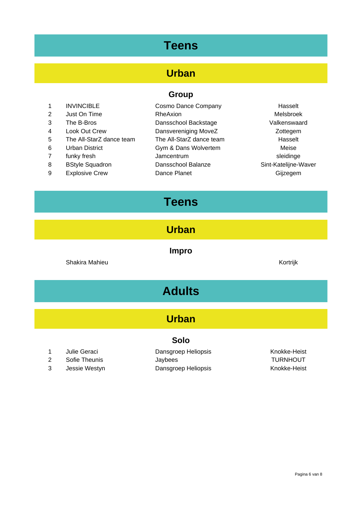### **Teens**

#### **Urban**

#### **Group**

|   | <b>INVINCIBLE</b>        | Cosmo Dance Company      | Hasselt              |
|---|--------------------------|--------------------------|----------------------|
| 2 | Just On Time             | RheAxion                 | <b>Melsbroek</b>     |
| 3 | The B-Bros               | Dansschool Backstage     | Valkenswaard         |
| 4 | Look Out Crew            | Dansvereniging MoveZ     | Zottegem             |
| 5 | The All-StarZ dance team | The All-StarZ dance team | Hasselt              |
| 6 | <b>Urban District</b>    | Gym & Dans Wolvertem     | Meise                |
|   | funky fresh              | Jamcentrum               | sleidinge            |
| 8 | <b>BStyle Squadron</b>   | Dansschool Balanze       | Sint-Katelijne-Waver |
| 9 | <b>Explosive Crew</b>    | Dance Planet             | Gijzegem             |

### **Teens**

**Urban**

**Impro**

Shakira Mahieu **Kortrijk** 

## **Adults**

#### **Urban**

#### **Solo**

- 
- 
- 
- 1 Julie Geraci **Dansgroep Heliopsis** Chronicke-Heist 2 Sofie Theunis **Sofie Theunis** Jaybees **TURNHOUT** 3 Jessie Westyn **Dansgroep Heliopsis** Chronicke-Heist